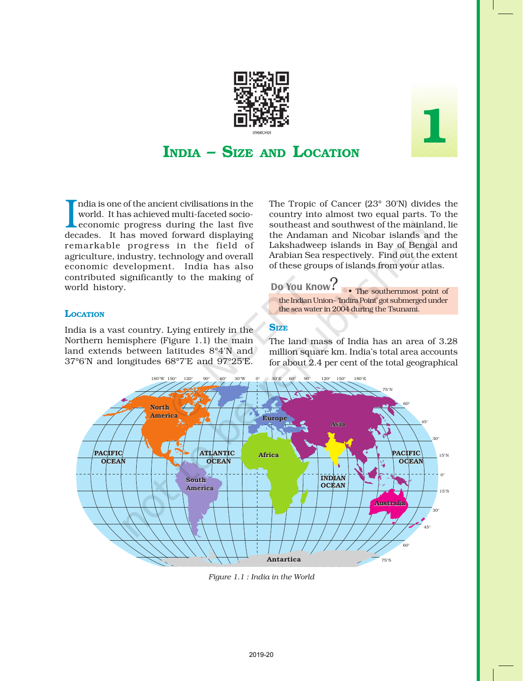

# 1

# INDIA – SIZE AND LOCATION

 $\begin{array}{l} \begin{array}{l} \text{ India is one of the ancient civilisations in the world. It has achieved multi-faceted socio-economic progress during the last five decades. It has moved forward displaying the key of the second.} \end{array} \end{array}$ ndia is one of the ancient civilisations in the world. It has achieved multi-faceted socioeconomic progress during the last five remarkable progress in the field of agriculture, industry, technology and overall economic development. India has also contributed significantly to the making of world history.

## **LOCATION**

India is a vast country. Lying entirely in the Northern hemisphere (Figure 1.1) the main land extends between latitudes 8°4'N and 37°6'N and longitudes 68°7'E and 97°25'E.

The Tropic of Cancer (23° 30'N) divides the country into almost two equal parts. To the southeast and southwest of the mainland, lie the Andaman and Nicobar islands and the Lakshadweep islands in Bay of Bengal and Arabian Sea respectively. Find out the extent of these groups of islands from your atlas.

# Do You Know?



## **SIZE**

The land mass of India has an area of 3.28 million square km. India's total area accounts for about 2.4 per cent of the total geographical



*Figure 1.1 : India in the World*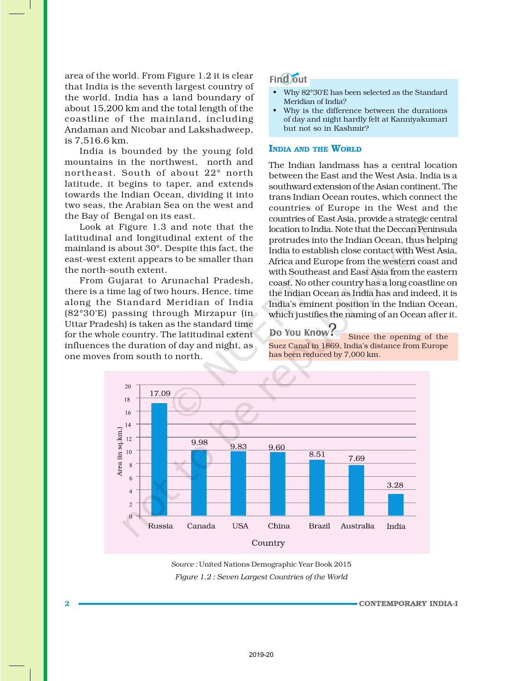area of the world. From Figure 1.2 it is clear that India is the seventh largest country of the world. India has a land boundary of about 15,200 km and the total length of the coastline of the mainland, including Andaman and Nicobar and Lakshadweep, is 7,516.6 km.

India is bounded by the young fold mountains in the northwest, north and northeast. South of about 22° north latitude, it begins to taper, and extends towards the Indian Ocean, dividing it into two seas, the Arabian Sea on the west and the Bay of Bengal on its east.

Look at Figure 1.3 and note that the latitudinal and longitudinal extent of the mainland is about 30°. Despite this fact, the east-west extent appears to be smaller than the north-south extent.

From Gujarat to Arunachal Pradesh, there is a time lag of two hours. Hence, time along the Standard Meridian of India (82°30'E) passing through Mirzapur (in Uttar Pradesh) is taken as the standard time for the whole country. The latitudinal extent influences the duration of day and night, as one moves from south to north.

# **Find** out

- Why 82°30'E has been selected as the Standard Meridian of India?
- Why is the difference between the durations of day and night hardly felt at Kanniyakumari but not so in Kashmir?

### INDIA AND THE WORLD

The Indian landmass has a central location between the East and the West Asia. India is a southward extension of the Asian continent. The trans Indian Ocean routes, which connect the countries of Europe in the West and the countries of East Asia, provide a strategic central location to India. Note that the Deccan Peninsula protrudes into the Indian Ocean, thus helping India to establish close contact with West Asia, Africa and Europe from the western coast and with Southeast and East Asia from the eastern coast. No other country has a long coastline on the Indian Ocean as India has and indeed, it is India's eminent position in the Indian Ocean, which justifies the naming of an Ocean after it.

# Do You Know!

Since the opening of the Suez Canal in 1869, India's distance from Europe has been reduced by 7,000 km.



*Figure 1.2 : Seven Largest Countries of the World Source :* United Nations Demographic Year Book 2015

2 CONTEMPORARY INDIA-I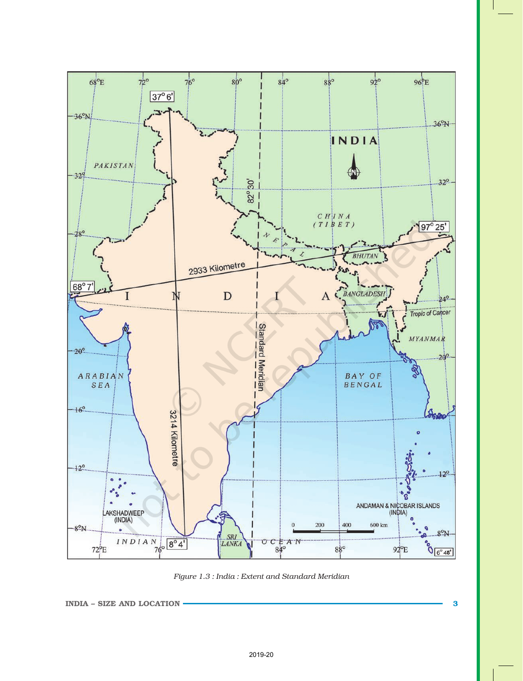

*Figure 1.3 : India : Extent and Standard Meridian*

```
INDIA – SIZE AND LOCATION SUMPLE 2008 3
```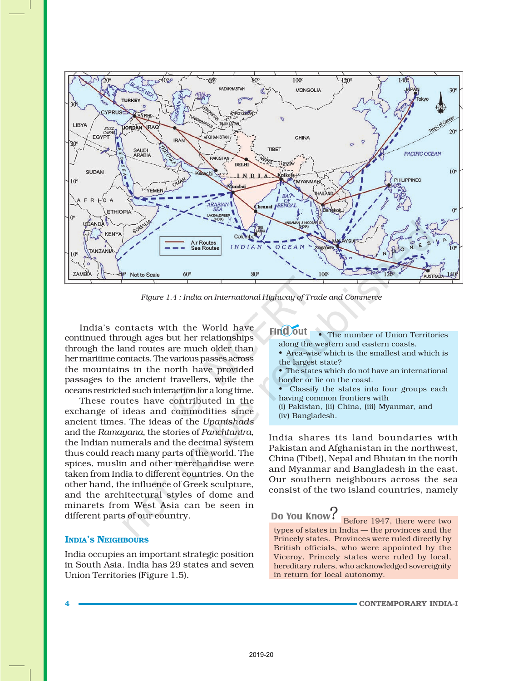

*Figure 1.4 : India on International Highway of Trade and Commerce*

India's contacts with the World have continued through ages but her relationships through the land routes are much older than her maritime contacts. The various passes across the mountains in the north have provided passages to the ancient travellers, while the oceans restricted such interaction for a long time.

These routes have contributed in the exchange of ideas and commodities since ancient times. The ideas of the *Upanishads* and the *Ramayana*, the stories of *Panchtantra*, the Indian numerals and the decimal system thus could reach many parts of the world. The spices, muslin and other merchandise were taken from India to different countries. On the other hand, the influence of Greek sculpture, and the architectural styles of dome and minarets from West Asia can be seen in different parts of our country.

### INDIA'S NEIGHBOURS

India occupies an important strategic position in South Asia. India has 29 states and seven Union Territories (Figure 1.5).

### **Find out** The number of Union Territories along the western and eastern coasts.

- Area-wise which is the smallest and which is the largest state?
- The states which do not have an international border or lie on the coast.
- Classify the states into four groups each having common frontiers with
- (i) Pakistan, (ii) China, (iii) Myanmar, and (iv) Bangladesh.

India shares its land boundaries with Pakistan and Afghanistan in the northwest, China (Tibet), Nepal and Bhutan in the north and Myanmar and Bangladesh in the east. Our southern neighbours across the sea consist of the two island countries, namely

# Do You Know!

Before 1947, there were two types of states in India — the provinces and the Princely states. Provinces were ruled directly by British officials, who were appointed by the Viceroy. Princely states were ruled by local, hereditary rulers, who acknowledged sovereignity in return for local autonomy.

4 CONTEMPORARY INDIA-I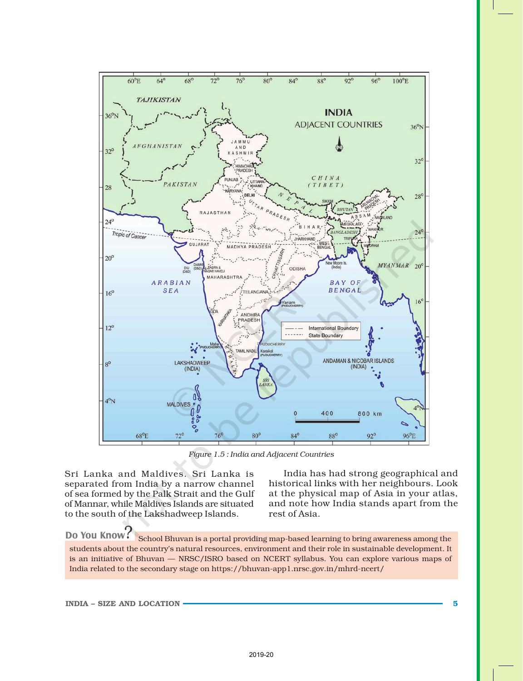

*Figure 1.5 : India and Adjacent Countries*

Sri Lanka and Maldives. Sri Lanka is separated from India by a narrow channel of sea formed by the Palk Strait and the Gulf of Mannar, while Maldives Islands are situated to the south of the Lakshadweep Islands.

India has had strong geographical and historical links with her neighbours. Look at the physical map of Asia in your atlas, and note how India stands apart from the rest of Asia.

Do You Know: School Bhuvan is a portal providing map-based learning to bring awareness among the students about the country's natural resources, environment and their role in sustainable development. It is an initiative of Bhuvan — NRSC/ISRO based on NCERT syllabus. You can explore various maps of India related to the secondary stage on https://bhuvan-app1.nrsc.gov.in/mhrd-ncert/

INDIA – SIZE AND LOCATION **SUMPLE 2008** S